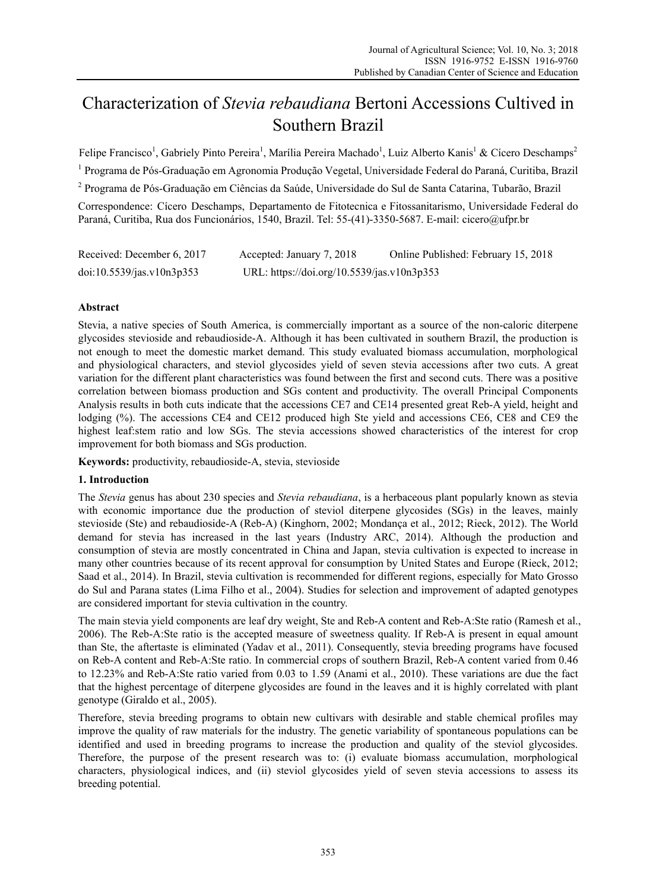# Characterization of *Stevia rebaudiana* Bertoni Accessions Cultived in Southern Brazil

Felipe Francisco<sup>1</sup>, Gabriely Pinto Pereira<sup>1</sup>, Marília Pereira Machado<sup>1</sup>, Luiz Alberto Kanis<sup>1</sup> & Cícero Deschamps<sup>2</sup> <sup>1</sup> Programa de Pós-Graduação em Agronomia Produção Vegetal, Universidade Federal do Paraná, Curitiba, Brazil <sup>2</sup> Programa de Pós-Graduação em Ciências da Saúde, Universidade do Sul de Santa Catarina, Tubarão, Brazil Correspondence: Cícero Deschamps, Departamento de Fitotecnica e Fitossanitarismo, Universidade Federal do Paraná, Curitiba, Rua dos Funcionários, 1540, Brazil. Tel: 55-(41)-3350-5687. E-mail: cicero@ufpr.br

| Received: December 6, 2017 | Accepted: January 7, 2018                  | Online Published: February 15, 2018 |
|----------------------------|--------------------------------------------|-------------------------------------|
| doi:10.5539/jas.v10n3p353  | URL: https://doi.org/10.5539/jas.v10n3p353 |                                     |

# **Abstract**

Stevia, a native species of South America, is commercially important as a source of the non-caloric diterpene glycosides stevioside and rebaudioside-A. Although it has been cultivated in southern Brazil, the production is not enough to meet the domestic market demand. This study evaluated biomass accumulation, morphological and physiological characters, and steviol glycosides yield of seven stevia accessions after two cuts. A great variation for the different plant characteristics was found between the first and second cuts. There was a positive correlation between biomass production and SGs content and productivity. The overall Principal Components Analysis results in both cuts indicate that the accessions CE7 and CE14 presented great Reb-A yield, height and lodging (%). The accessions CE4 and CE12 produced high Ste yield and accessions CE6, CE8 and CE9 the highest leaf:stem ratio and low SGs. The stevia accessions showed characteristics of the interest for crop improvement for both biomass and SGs production.

**Keywords:** productivity, rebaudioside-A, stevia, stevioside

# **1. Introduction**

The *Stevia* genus has about 230 species and *Stevia rebaudiana*, is a herbaceous plant popularly known as stevia with economic importance due the production of steviol diterpene glycosides (SGs) in the leaves, mainly stevioside (Ste) and rebaudioside-A (Reb-A) (Kinghorn, 2002; Mondança et al., 2012; Rieck, 2012). The World demand for stevia has increased in the last years (Industry ARC, 2014). Although the production and consumption of stevia are mostly concentrated in China and Japan, stevia cultivation is expected to increase in many other countries because of its recent approval for consumption by United States and Europe (Rieck, 2012; Saad et al., 2014). In Brazil, stevia cultivation is recommended for different regions, especially for Mato Grosso do Sul and Parana states (Lima Filho et al., 2004). Studies for selection and improvement of adapted genotypes are considered important for stevia cultivation in the country.

The main stevia yield components are leaf dry weight, Ste and Reb-A content and Reb-A:Ste ratio (Ramesh et al., 2006). The Reb-A:Ste ratio is the accepted measure of sweetness quality. If Reb-A is present in equal amount than Ste, the aftertaste is eliminated (Yadav et al., 2011). Consequently, stevia breeding programs have focused on Reb-A content and Reb-A:Ste ratio. In commercial crops of southern Brazil, Reb-A content varied from 0.46 to 12.23% and Reb-A:Ste ratio varied from 0.03 to 1.59 (Anami et al., 2010). These variations are due the fact that the highest percentage of diterpene glycosides are found in the leaves and it is highly correlated with plant genotype (Giraldo et al., 2005).

Therefore, stevia breeding programs to obtain new cultivars with desirable and stable chemical profiles may improve the quality of raw materials for the industry. The genetic variability of spontaneous populations can be identified and used in breeding programs to increase the production and quality of the steviol glycosides. Therefore, the purpose of the present research was to: (i) evaluate biomass accumulation, morphological characters, physiological indices, and (ii) steviol glycosides yield of seven stevia accessions to assess its breeding potential.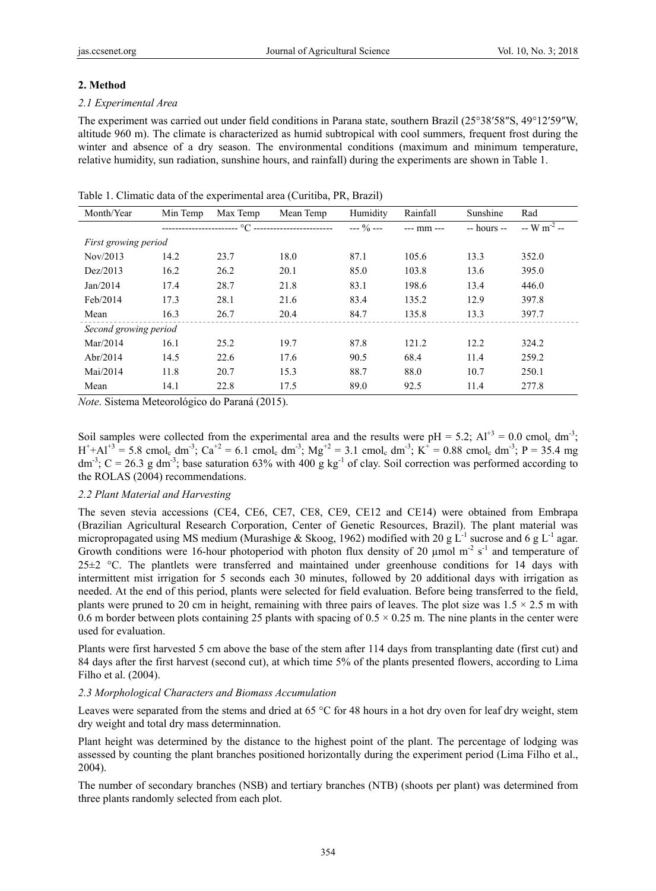#### **2. Method**

#### *2.1 Experimental Area*

The experiment was carried out under field conditions in Parana state, southern Brazil (25°38′58″S, 49°12′59″W, altitude 960 m). The climate is characterized as humid subtropical with cool summers, frequent frost during the winter and absence of a dry season. The environmental conditions (maximum and minimum temperature, relative humidity, sun radiation, sunshine hours, and rainfall) during the experiments are shown in Table 1.

| Month/Year            | Min Temp                | Max Temp | Mean Temp                     | Humidity      | Rainfall       | Sunshine      | Rad                       |
|-----------------------|-------------------------|----------|-------------------------------|---------------|----------------|---------------|---------------------------|
|                       | ----------------------- |          | °C -------------------------- | $--- 9/0 ---$ | $---$ mm $---$ | $-$ hours $-$ | $-$ W m <sup>-2</sup> $-$ |
| First growing period  |                         |          |                               |               |                |               |                           |
| Nov/2013              | 14.2                    | 23.7     | 18.0                          | 87.1          | 105.6          | 13.3          | 352.0                     |
| Dez/2013              | 16.2                    | 26.2     | 20.1                          | 85.0          | 103.8          | 13.6          | 395.0                     |
| Jan/2014              | 17.4                    | 28.7     | 21.8                          | 83.1          | 198.6          | 13.4          | 446.0                     |
| Feb/2014              | 17.3                    | 28.1     | 21.6                          | 83.4          | 135.2          | 12.9          | 397.8                     |
| Mean                  | 16.3                    | 26.7     | 20.4                          | 84.7          | 135.8          | 13.3          | 397.7                     |
| Second growing period |                         |          |                               |               |                |               |                           |
| Mar/2014              | 16.1                    | 25.2     | 19.7                          | 87.8          | 121.2          | 12.2          | 324.2                     |
| Abr/2014              | 14.5                    | 22.6     | 17.6                          | 90.5          | 68.4           | 11.4          | 259.2                     |
| Mai/2014              | 11.8                    | 20.7     | 15.3                          | 88.7          | 88.0           | 10.7          | 250.1                     |
| Mean                  | 14.1                    | 22.8     | 17.5                          | 89.0          | 92.5           | 11.4          | 277.8                     |

Table 1. Climatic data of the experimental area (Curitiba, PR, Brazil)

*Note*. Sistema Meteorológico do Paraná (2015).

Soil samples were collected from the experimental area and the results were pH = 5.2;  $Al^{+3} = 0.0$  cmol. dm<sup>-3</sup>;  $H^+ + Al^{+3} = 5.8$  cmol<sub>c</sub> dm<sup>-3</sup>; Ca<sup>+2</sup> = 6.1 cmol<sub>c</sub> dm<sup>-3</sup>; Mg<sup>+2</sup> = 3.1 cmol<sub>c</sub> dm<sup>-3</sup>; K<sup>+</sup> = 0.88 cmol<sub>c</sub> dm<sup>-3</sup>; P = 35.4 mg  $dm<sup>3</sup>$ ; C = 26.3 g dm<sup>-3</sup>; base saturation 63% with 400 g kg<sup>-1</sup> of clay. Soil correction was performed according to the ROLAS (2004) recommendations.

## *2.2 Plant Material and Harvesting*

The seven stevia accessions (CE4, CE6, CE7, CE8, CE9, CE12 and CE14) were obtained from Embrapa (Brazilian Agricultural Research Corporation, Center of Genetic Resources, Brazil). The plant material was micropropagated using MS medium (Murashige & Skoog, 1962) modified with 20 g L<sup>-1</sup> sucrose and 6 g L<sup>-1</sup> agar. Growth conditions were 16-hour photoperiod with photon flux density of 20  $\mu$ mol m<sup>-2</sup> s<sup>-1</sup> and temperature of  $25\pm2$  °C. The plantlets were transferred and maintained under greenhouse conditions for 14 days with intermittent mist irrigation for 5 seconds each 30 minutes, followed by 20 additional days with irrigation as needed. At the end of this period, plants were selected for field evaluation. Before being transferred to the field, plants were pruned to 20 cm in height, remaining with three pairs of leaves. The plot size was  $1.5 \times 2.5$  m with 0.6 m border between plots containing 25 plants with spacing of  $0.5 \times 0.25$  m. The nine plants in the center were used for evaluation.

Plants were first harvested 5 cm above the base of the stem after 114 days from transplanting date (first cut) and 84 days after the first harvest (second cut), at which time 5% of the plants presented flowers, according to Lima Filho et al. (2004).

#### *2.3 Morphological Characters and Biomass Accumulation*

Leaves were separated from the stems and dried at 65 °C for 48 hours in a hot dry oven for leaf dry weight, stem dry weight and total dry mass determinnation.

Plant height was determined by the distance to the highest point of the plant. The percentage of lodging was assessed by counting the plant branches positioned horizontally during the experiment period (Lima Filho et al., 2004).

The number of secondary branches (NSB) and tertiary branches (NTB) (shoots per plant) was determined from three plants randomly selected from each plot.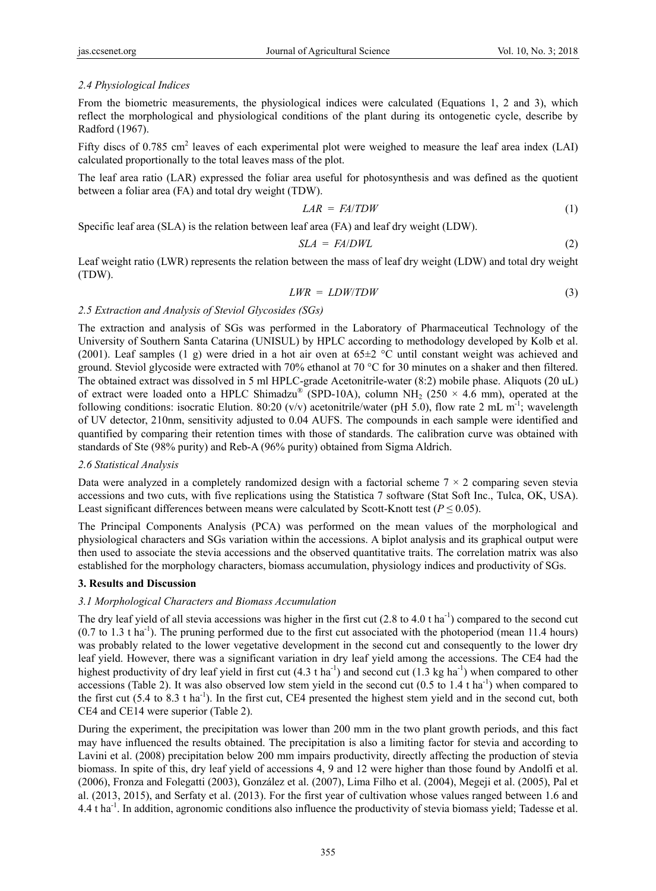# *2.4 Physiological Indices*

From the biometric measurements, the physiological indices were calculated (Equations 1, 2 and 3), which reflect the morphological and physiological conditions of the plant during its ontogenetic cycle, describe by Radford (1967).

Fifty discs of 0.785 cm<sup>2</sup> leaves of each experimental plot were weighed to measure the leaf area index (LAI) calculated proportionally to the total leaves mass of the plot.

The leaf area ratio (LAR) expressed the foliar area useful for photosynthesis and was defined as the quotient between a foliar area (FA) and total dry weight (TDW).

$$
LAR = FA/TDW \tag{1}
$$

Specific leaf area (SLA) is the relation between leaf area (FA) and leaf dry weight (LDW).

$$
SLA = FA/DWL \tag{2}
$$

Leaf weight ratio (LWR) represents the relation between the mass of leaf dry weight (LDW) and total dry weight (TDW).

$$
LWR = LDW/TDW \tag{3}
$$

## *2.5 Extraction and Analysis of Steviol Glycosides (SGs)*

The extraction and analysis of SGs was performed in the Laboratory of Pharmaceutical Technology of the University of Southern Santa Catarina (UNISUL) by HPLC according to methodology developed by Kolb et al. (2001). Leaf samples (1 g) were dried in a hot air oven at 65±2 °C until constant weight was achieved and ground. Steviol glycoside were extracted with 70% ethanol at 70 °C for 30 minutes on a shaker and then filtered. The obtained extract was dissolved in 5 ml HPLC-grade Acetonitrile-water (8:2) mobile phase. Aliquots (20 uL) of extract were loaded onto a HPLC Shimadzu<sup>®</sup> (SPD-10A), column NH<sub>2</sub> (250  $\times$  4.6 mm), operated at the following conditions: isocratic Elution. 80:20 (v/v) acetonitrile/water (pH 5.0), flow rate 2 mL m<sup>-1</sup>; wavelength of UV detector, 210nm, sensitivity adjusted to 0.04 AUFS. The compounds in each sample were identified and quantified by comparing their retention times with those of standards. The calibration curve was obtained with standards of Ste (98% purity) and Reb-A (96% purity) obtained from Sigma Aldrich.

## *2.6 Statistical Analysis*

Data were analyzed in a completely randomized design with a factorial scheme  $7 \times 2$  comparing seven stevia accessions and two cuts, with five replications using the Statistica 7 software (Stat Soft Inc., Tulca, OK, USA). Least significant differences between means were calculated by Scott-Knott test ( $P \le 0.05$ ).

The Principal Components Analysis (PCA) was performed on the mean values of the morphological and physiological characters and SGs variation within the accessions. A biplot analysis and its graphical output were then used to associate the stevia accessions and the observed quantitative traits. The correlation matrix was also established for the morphology characters, biomass accumulation, physiology indices and productivity of SGs.

## **3. Results and Discussion**

## *3.1 Morphological Characters and Biomass Accumulation*

The dry leaf yield of all stevia accessions was higher in the first cut  $(2.8 \text{ to } 4.0 \text{ t} \text{ ha}^{-1})$  compared to the second cut  $(0.7 \text{ to } 1.3 \text{ tha}^{-1})$ . The pruning performed due to the first cut associated with the photoperiod (mean 11.4 hours) was probably related to the lower vegetative development in the second cut and consequently to the lower dry leaf yield. However, there was a significant variation in dry leaf yield among the accessions. The CE4 had the highest productivity of dry leaf yield in first cut  $(4.3 \text{ tha}^{-1})$  and second cut  $(1.3 \text{ kg ha}^{-1})$  when compared to other accessions (Table 2). It was also observed low stem yield in the second cut  $(0.5 \text{ to } 1.4 \text{ t} \text{ ha}^{-1})$  when compared to the first cut  $(5.4 \text{ to } 8.3 \text{ t ha}^{-1})$ . In the first cut, CE4 presented the highest stem yield and in the second cut, both CE4 and CE14 were superior (Table 2).

During the experiment, the precipitation was lower than 200 mm in the two plant growth periods, and this fact may have influenced the results obtained. The precipitation is also a limiting factor for stevia and according to Lavini et al. (2008) precipitation below 200 mm impairs productivity, directly affecting the production of stevia biomass. In spite of this, dry leaf yield of accessions 4, 9 and 12 were higher than those found by Andolfi et al. (2006), Fronza and Folegatti (2003), González et al. (2007), Lima Filho et al. (2004), Megeji et al. (2005), Pal et al. (2013, 2015), and Serfaty et al. (2013). For the first year of cultivation whose values ranged between 1.6 and 4.4 t ha-1. In addition, agronomic conditions also influence the productivity of stevia biomass yield; Tadesse et al.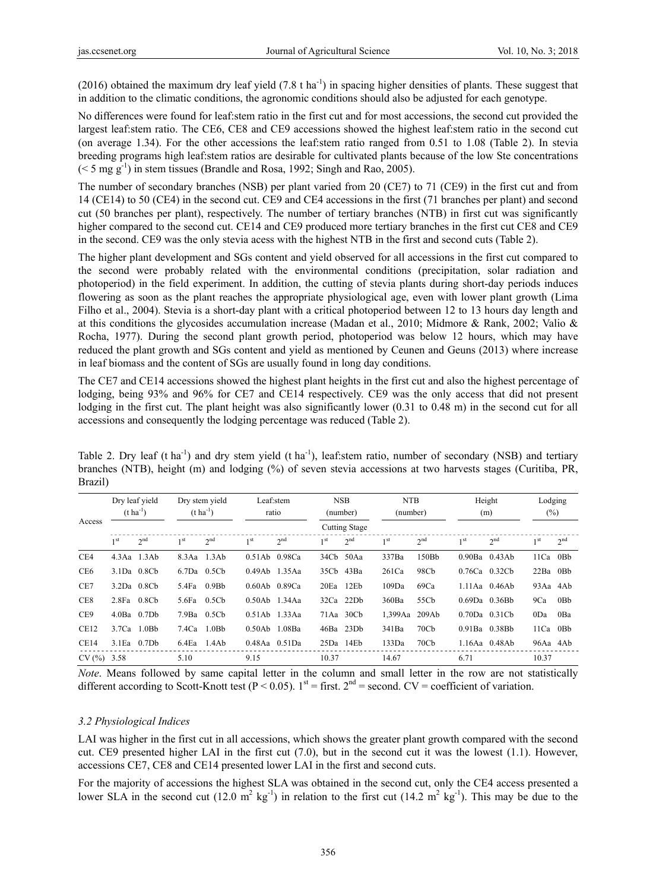(2016) obtained the maximum dry leaf yield (7.8 t ha<sup>-1</sup>) in spacing higher densities of plants. These suggest that in addition to the climatic conditions, the agronomic conditions should also be adjusted for each genotype.

No differences were found for leaf:stem ratio in the first cut and for most accessions, the second cut provided the largest leaf:stem ratio. The CE6, CE8 and CE9 accessions showed the highest leaf:stem ratio in the second cut (on average 1.34). For the other accessions the leaf:stem ratio ranged from 0.51 to 1.08 (Table 2). In stevia breeding programs high leaf:stem ratios are desirable for cultivated plants because of the low Ste concentrations  $(< 5 \text{ mg g}^{-1})$  in stem tissues (Brandle and Rosa, 1992; Singh and Rao, 2005).

The number of secondary branches (NSB) per plant varied from 20 (CE7) to 71 (CE9) in the first cut and from 14 (CE14) to 50 (CE4) in the second cut. CE9 and CE4 accessions in the first (71 branches per plant) and second cut (50 branches per plant), respectively. The number of tertiary branches (NTB) in first cut was significantly higher compared to the second cut. CE14 and CE9 produced more tertiary branches in the first cut CE8 and CE9 in the second. CE9 was the only stevia acess with the highest NTB in the first and second cuts (Table 2).

The higher plant development and SGs content and yield observed for all accessions in the first cut compared to the second were probably related with the environmental conditions (precipitation, solar radiation and photoperiod) in the field experiment. In addition, the cutting of stevia plants during short-day periods induces flowering as soon as the plant reaches the appropriate physiological age, even with lower plant growth (Lima Filho et al., 2004). Stevia is a short-day plant with a critical photoperiod between 12 to 13 hours day length and at this conditions the glycosides accumulation increase (Madan et al., 2010; Midmore & Rank, 2002; Valio & Rocha, 1977). During the second plant growth period, photoperiod was below 12 hours, which may have reduced the plant growth and SGs content and yield as mentioned by Ceunen and Geuns (2013) where increase in leaf biomass and the content of SGs are usually found in long day conditions.

The CE7 and CE14 accessions showed the highest plant heights in the first cut and also the highest percentage of lodging, being 93% and 96% for CE7 and CE14 respectively. CE9 was the only access that did not present lodging in the first cut. The plant height was also significantly lower (0.31 to 0.48 m) in the second cut for all accessions and consequently the lodging percentage was reduced (Table 2).

Table 2. Dry leaf (t ha<sup>-1</sup>) and dry stem yield (t ha<sup>-1</sup>), leaf: stem ratio, number of secondary (NSB) and tertiary branches (NTB), height (m) and lodging (%) of seven stevia accessions at two harvests stages (Curitiba, PR, Brazil)

|                  | Dry leaf yield<br>$(t \text{ ha}^{-1})$ |                   | Dry stem yield<br>$(t \text{ ha}^{-1})$ |                   | Leaf:stem<br>ratio  |                 | <b>NSB</b><br>(number) |                      | <b>NTB</b><br>(number) |                  | Height<br>(m)       |                     | Lodging<br>$(\%)$ |                 |
|------------------|-----------------------------------------|-------------------|-----------------------------------------|-------------------|---------------------|-----------------|------------------------|----------------------|------------------------|------------------|---------------------|---------------------|-------------------|-----------------|
| Access           |                                         |                   |                                         |                   |                     |                 |                        | <b>Cutting Stage</b> |                        |                  |                     |                     |                   |                 |
|                  | 1 <sup>st</sup>                         | 2 <sub>nd</sub>   | 1 <sup>st</sup>                         | 2 <sup>nd</sup>   | 1 <sup>st</sup>     | 2 <sup>nd</sup> | 1 <sup>st</sup>        | 2 <sup>nd</sup>      | 1 <sup>st</sup>        | 2 <sup>nd</sup>  | 1 <sup>st</sup>     | 2 <sup>nd</sup>     | 1 <sup>st</sup>   | 2 <sup>nd</sup> |
| CE4              |                                         | $4.3$ Aa $1.3$ Ab | 8.3Aa                                   | 1.3Ab             | $0.51Ab$ $0.98Ca$   |                 | 34Cb 50Aa              |                      | 337Ba                  | 150Bb            |                     | $0.90Ba$ $0.43Ab$   | $11Ca$ 0Bb        |                 |
| CE <sub>6</sub>  |                                         | 3.1Da 0.8Cb       | 6.7Da                                   | 0.5Cb             | 0.49Ab              | 1.35Aa          | 35Cb 43Ba              |                      | 261Ca                  | 98Cb             | 0.76Ca              | 0.32C <sub>b</sub>  | 22Ba 0Bb          |                 |
| CE7              |                                         | 3.2Da 0.8Cb       | 5.4Fa                                   | 0.9B <sub>b</sub> | 0.60Ab 0.89Ca       |                 | 20Eq                   | 12E <sub>b</sub>     | 109Da                  | 69Ca             |                     | $1.11$ Aa $0.46$ Ab | 93Aa 4Ab          |                 |
| CE8              | 2.8Fa 0.8Cb                             |                   | 5.6Fa                                   | 0.5Cb             | 0.50Ab              | 1.34Aa          |                        | 32Ca 22Db            | 360Ba                  | 55Cb             | $0.69$ Da $0.36$ Bh |                     | 9Ca               | 0Bb             |
| CE <sub>9</sub>  |                                         | $4.0$ Ba $0.7$ Db | 7.9Ba                                   | 0.5Cb             | 0.51Ab              | 1.33Aa          |                        | 71Aa 30Cb            | 1,399Aa                | 209Ab            | $0.70Da$ $0.31Cb$   |                     | 0Da               | 0Ba             |
| CE <sub>12</sub> |                                         | $3.7Ca$ 1.0Bb     | 7.4Ca                                   | 1.0B <sub>b</sub> | 0.50Ab              | 1.08Ba          | 46Ba 23Db              |                      | 341Ba                  | 70C <sub>b</sub> | $0.91Ba$ $0.38Bb$   |                     | 11Ca 0Bb          |                 |
| CE14             | $3.1$ Ea                                | 0.7D <sub>b</sub> | 6.4Ea                                   | 1.4Ab             | $0.48$ Aa $0.51$ Da |                 | $25Da$ 14 $Eb$         |                      | 133Da                  | 70C <sub>b</sub> |                     | 1.16Aa 0.48Ab       | 96Aa 4Ab          |                 |
| CV(%)            | 3.58                                    |                   | 5.10                                    |                   | 9.15                |                 | 10.37                  |                      | 14.67                  |                  | 6.71                |                     | 10.37             |                 |

*Note*. Means followed by same capital letter in the column and small letter in the row are not statistically different according to Scott-Knott test (P < 0.05). 1<sup>st</sup> = first. 2<sup>nd</sup> = second. CV = coefficient of variation.

#### *3.2 Physiological Indices*

LAI was higher in the first cut in all accessions, which shows the greater plant growth compared with the second cut. CE9 presented higher LAI in the first cut (7.0), but in the second cut it was the lowest (1.1). However, accessions CE7, CE8 and CE14 presented lower LAI in the first and second cuts.

For the majority of accessions the highest SLA was obtained in the second cut, only the CE4 access presented a lower SLA in the second cut  $(12.0 \text{ m}^2 \text{ kg}^{-1})$  in relation to the first cut  $(14.2 \text{ m}^2 \text{ kg}^{-1})$ . This may be due to the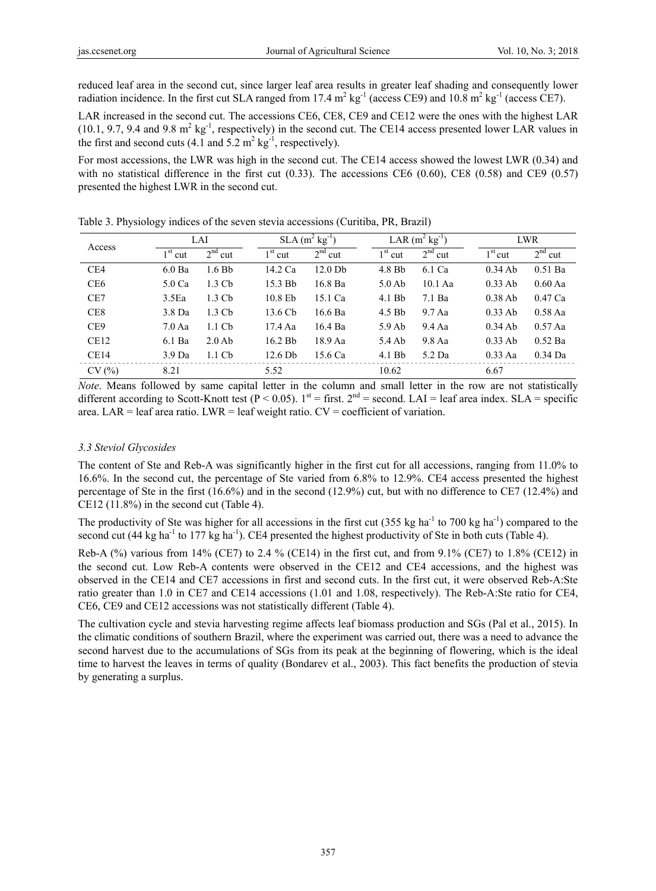reduced leaf area in the second cut, since larger leaf area results in greater leaf shading and consequently lower radiation incidence. In the first cut SLA ranged from 17.4  $m^2$  kg<sup>-1</sup> (access CE9) and 10.8  $m^2$  kg<sup>-1</sup> (access CE7).

LAR increased in the second cut. The accessions CE6, CE8, CE9 and CE12 were the ones with the highest LAR  $(10.1, 9.7, 9.4 \text{ and } 9.8 \text{ m}^2 \text{ kg}^1$ , respectively) in the second cut. The CE14 access presented lower LAR values in the first and second cuts (4.1 and 5.2  $m^2$  kg<sup>-1</sup>, respectively).

For most accessions, the LWR was high in the second cut. The CE14 access showed the lowest LWR (0.34) and with no statistical difference in the first cut  $(0.33)$ . The accessions CE6  $(0.60)$ , CE8  $(0.58)$  and CE9  $(0.57)$ presented the highest LWR in the second cut.

| Access          |                    | LAI               |           | $SLA$ (m <sup>2</sup> kg <sup>-1</sup> ) |           | LAR $(m^2 \text{ kg}^{-1})$ |           | LWR       |  |  |
|-----------------|--------------------|-------------------|-----------|------------------------------------------|-----------|-----------------------------|-----------|-----------|--|--|
|                 | $1st$ cut          | $2nd$ cut         | $1st$ cut | $2nd$ cut                                | $1st$ cut | $2nd$ cut                   | $1st$ cut | $2nd$ cut |  |  |
| CE4             | $6.0$ Ba           | 1.6Bb             | 14.2 Ca   | $12.0$ Db                                | $4.8$ Bb  | 6.1 Ca                      | $0.34$ Ab | $0.51$ Ba |  |  |
| CE <sub>6</sub> | 5.0 Ca             | $1.3 \text{ Ch}$  | 15.3 Bb   | 16.8 Ba                                  | $5.0$ Ab  | $10.1$ Aa                   | $0.33$ Ab | $0.60$ Aa |  |  |
| CE7             | 3.5 <sub>Ea</sub>  | 1.3 Cb            | 10.8 Eb   | 15.1 Ca                                  | $4.1$ Bb  | 7.1 Ba                      | $0.38$ Ab | 0.47 Ca   |  |  |
| CE <sub>8</sub> | $3.8\,\mathrm{Da}$ | $1.3 \text{ Ch}$  | 13.6 Cb   | $16.6$ Ba                                | 4.5 Bb    | $9.7$ Aa                    | $0.33$ Ab | $0.58$ Aa |  |  |
| CE <sub>9</sub> | 7.0 Aa             | $1.1 \,$ Cb       | 17.4 Aa   | 16.4 Ba                                  | 5.9Ab     | $9.4\text{ Aa}$             | $0.34$ Ab | $0.57$ Aa |  |  |
| CE12            | 6.1 Ba             | $2.0$ Ab          | 16.2 Bb   | 18.9 Aa                                  | 5.4 Ab    | $9.8$ Aa                    | $0.33$ Ab | $0.52$ Ba |  |  |
| CE14            | 3.9 <sub>Da</sub>  | 1.1 <sub>cb</sub> | $12.6$ Db | 15.6 Ca                                  | $4.1$ Bb  | 5.2 Da                      | $0.33$ Aa | $0.34$ Da |  |  |
| CV(%)           | 8.21               |                   | 5.52      |                                          | 10.62     |                             | 6.67      |           |  |  |

Table 3. Physiology indices of the seven stevia accessions (Curitiba, PR, Brazil)

*Note*. Means followed by same capital letter in the column and small letter in the row are not statistically different according to Scott-Knott test ( $P < 0.05$ ). 1<sup>st</sup> = first. 2<sup>nd</sup> = second. LAI = leaf area index. SLA = specific area. LAR = leaf area ratio. LWR = leaf weight ratio.  $CV = coefficient$  of variation.

## *3.3 Steviol Glycosides*

The content of Ste and Reb-A was significantly higher in the first cut for all accessions, ranging from 11.0% to 16.6%. In the second cut, the percentage of Ste varied from 6.8% to 12.9%. CE4 access presented the highest percentage of Ste in the first (16.6%) and in the second (12.9%) cut, but with no difference to CE7 (12.4%) and CE12 (11.8%) in the second cut (Table 4).

The productivity of Ste was higher for all accessions in the first cut (355 kg ha<sup>-1</sup> to 700 kg ha<sup>-1</sup>) compared to the second cut (44 kg ha<sup>-1</sup> to 177 kg ha<sup>-1</sup>). CE4 presented the highest productivity of Ste in both cuts (Table 4).

Reb-A (%) various from 14% (CE7) to 2.4 % (CE14) in the first cut, and from 9.1% (CE7) to 1.8% (CE12) in the second cut. Low Reb-A contents were observed in the CE12 and CE4 accessions, and the highest was observed in the CE14 and CE7 accessions in first and second cuts. In the first cut, it were observed Reb-A:Ste ratio greater than 1.0 in CE7 and CE14 accessions (1.01 and 1.08, respectively). The Reb-A:Ste ratio for CE4, CE6, CE9 and CE12 accessions was not statistically different (Table 4).

The cultivation cycle and stevia harvesting regime affects leaf biomass production and SGs (Pal et al., 2015). In the climatic conditions of southern Brazil, where the experiment was carried out, there was a need to advance the second harvest due to the accumulations of SGs from its peak at the beginning of flowering, which is the ideal time to harvest the leaves in terms of quality (Bondarev et al., 2003). This fact benefits the production of stevia by generating a surplus.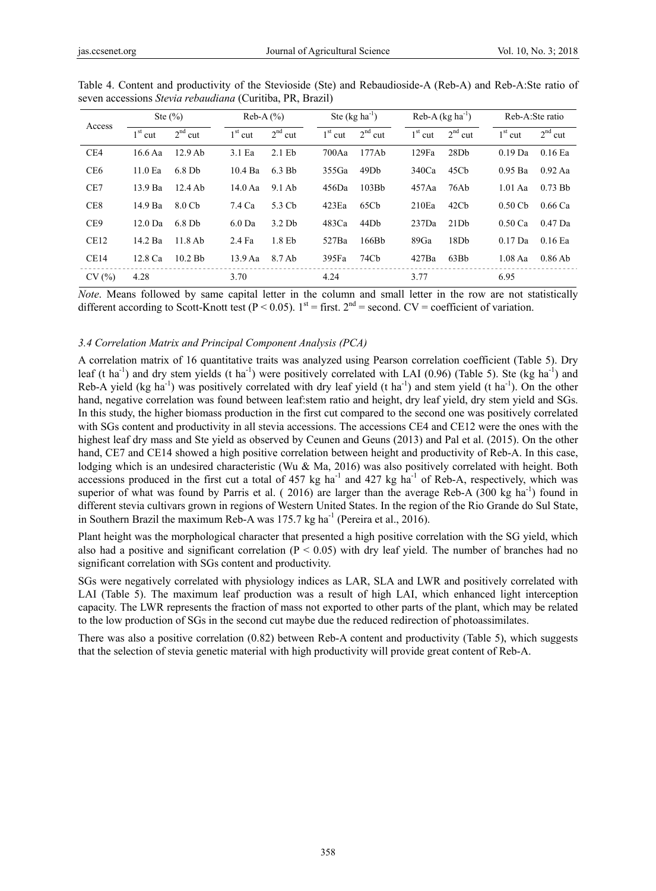| Access          |                    | Ste $(\% )$          |           | $Reb-A(%)$        |           | Ste $(kg ha^{-1})$ |           | $Reb-A (kg ha^{-1})$ | Reb-A:Ste ratio |           |  |
|-----------------|--------------------|----------------------|-----------|-------------------|-----------|--------------------|-----------|----------------------|-----------------|-----------|--|
|                 | $1st$ cut          | $2nd$ cut            | $1st$ cut | $2nd$ cut         | $1st$ cut | $2nd$ cut          | $1st$ cut | $2nd$ cut            | $1st$ cut       | $2nd$ cut |  |
| CE4             | $16.6$ Aa          | $12.9$ Ab            | 3.1 Ea    | $2.1$ Eb          | 700Aa     | 177Ab              | 129Fa     | 28Db                 | $0.19$ Da       | 0.16 Ea   |  |
| CE <sub>6</sub> | 11.0 <sub>Ea</sub> | $6.8$ Db             | $10.4$ Ba | $6.3$ Bb          | 355Ga     | 49D <sub>b</sub>   | 340Ca     | 45Cb                 | $0.95$ Ba       | $0.92$ Aa |  |
| CE7             | $13.9$ Ba          | $12.4$ Ab            | $14.0$ Aa | $9.1$ Ab          | 456Da     | 103B <sub>b</sub>  | 457Aa     | 76Ab                 | $1.01$ Aa       | $0.73$ Bb |  |
| CE <sub>8</sub> | 14.9 Ba            | 8.0 Cb               | 7.4 Ca    | 5.3 Cb            | 423Eq     | 65Cb               | 210Eq     | 42Cb                 | $0.50$ Cb       | 0.66 Ca   |  |
| CE <sub>9</sub> | $12.0$ Da          | $6.8$ D <sub>b</sub> | $6.0$ Da  | 3.2 <sub>Db</sub> | 483Ca     | 44D <sub>b</sub>   | 237Da     | 21Db                 | $0.50$ Ca       | $0.47$ Da |  |
| CE12            | 14.2 Ba            | $11.8$ Ab            | 2.4 Fa    | 1.8 <sub>Eb</sub> | 527Ba     | 166B <sub>b</sub>  | 89Ga      | 18 <sub>D</sub> b    | $0.17$ Da       | $0.16$ Ea |  |
| CE14            | 12.8 Ca            | $10.2$ Bb            | $13.9$ Aa | 8.7 Ab            | 395Fa     | 74Cb               | 427Ba     | 63Bb                 | $1.08$ Aa       | $0.86$ Ab |  |
| CV(%)           | 4.28               |                      | 3.70      |                   | 4.24      |                    | 3.77      |                      | 6.95            |           |  |

Table 4. Content and productivity of the Stevioside (Ste) and Rebaudioside-A (Reb-A) and Reb-A:Ste ratio of seven accessions *Stevia rebaudiana* (Curitiba, PR, Brazil)

*Note*. Means followed by same capital letter in the column and small letter in the row are not statistically different according to Scott-Knott test (P < 0.05).  $1^{st}$  = first.  $2^{nd}$  = second. CV = coefficient of variation.

## *3.4 Correlation Matrix and Principal Component Analysis (PCA)*

A correlation matrix of 16 quantitative traits was analyzed using Pearson correlation coefficient (Table 5). Dry leaf (t ha<sup>-1</sup>) and dry stem yields (t ha<sup>-1</sup>) were positively correlated with LAI (0.96) (Table 5). Ste (kg ha<sup>-1</sup>) and Reb-A yield (kg ha<sup>-1</sup>) was positively correlated with dry leaf yield (t ha<sup>-1</sup>) and stem yield (t ha<sup>-1</sup>). On the other hand, negative correlation was found between leaf:stem ratio and height, dry leaf yield, dry stem yield and SGs. In this study, the higher biomass production in the first cut compared to the second one was positively correlated with SGs content and productivity in all stevia accessions. The accessions CE4 and CE12 were the ones with the highest leaf dry mass and Ste yield as observed by Ceunen and Geuns (2013) and Pal et al. (2015). On the other hand, CE7 and CE14 showed a high positive correlation between height and productivity of Reb-A. In this case, lodging which is an undesired characteristic (Wu & Ma, 2016) was also positively correlated with height. Both accessions produced in the first cut a total of  $457 \text{ kg}$  ha<sup>-1</sup> and  $427 \text{ kg}$  ha<sup>-1</sup> of Reb-A, respectively, which was superior of what was found by Parris et al. ( 2016) are larger than the average Reb-A (300 kg ha<sup>-1</sup>) found in different stevia cultivars grown in regions of Western United States. In the region of the Rio Grande do Sul State, in Southern Brazil the maximum Reb-A was  $175.7$  kg ha<sup>-1</sup> (Pereira et al., 2016).

Plant height was the morphological character that presented a high positive correlation with the SG yield, which also had a positive and significant correlation ( $P < 0.05$ ) with dry leaf yield. The number of branches had no significant correlation with SGs content and productivity.

SGs were negatively correlated with physiology indices as LAR, SLA and LWR and positively correlated with LAI (Table 5). The maximum leaf production was a result of high LAI, which enhanced light interception capacity. The LWR represents the fraction of mass not exported to other parts of the plant, which may be related to the low production of SGs in the second cut maybe due the reduced redirection of photoassimilates.

There was also a positive correlation (0.82) between Reb-A content and productivity (Table 5), which suggests that the selection of stevia genetic material with high productivity will provide great content of Reb-A.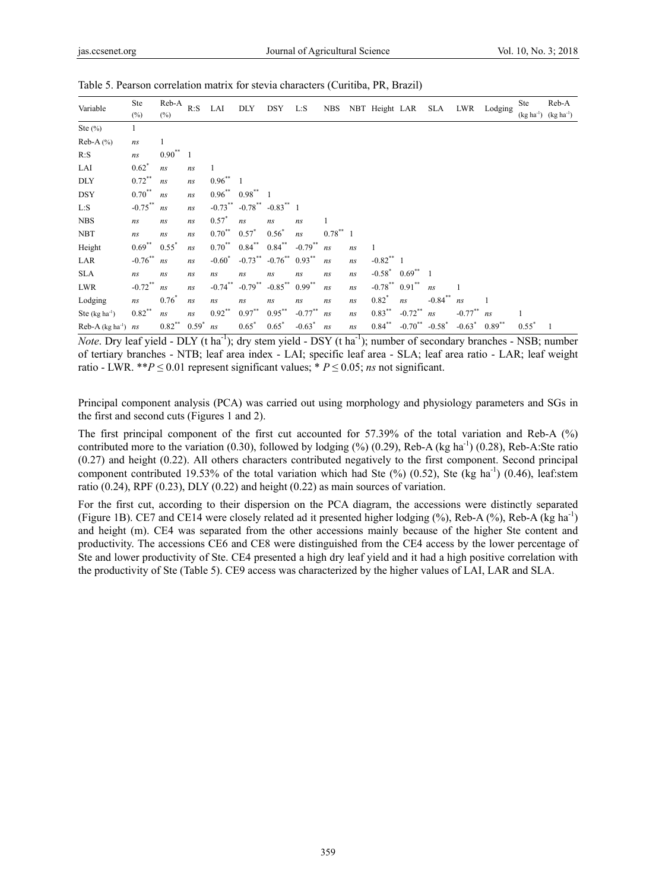| Variable                       | Ste                  | Reb-A<br>$(\%)$           | R: S                     | LAI           | <b>DLY</b>                         | <b>DSY</b>                      | L: S       | <b>NBS</b> |    | NBT Height LAR          |                          | SLA        |                              | LWR Lodging | <b>Ste</b>  | Reb-A       |
|--------------------------------|----------------------|---------------------------|--------------------------|---------------|------------------------------------|---------------------------------|------------|------------|----|-------------------------|--------------------------|------------|------------------------------|-------------|-------------|-------------|
|                                | $(\%)$               |                           |                          |               |                                    |                                 |            |            |    |                         |                          |            |                              |             | $(kg ha-1)$ | $(kg ha-1)$ |
| Ste $(\%)$                     |                      |                           |                          |               |                                    |                                 |            |            |    |                         |                          |            |                              |             |             |             |
| $Reb-A(%)$                     | ns                   | 1                         |                          |               |                                    |                                 |            |            |    |                         |                          |            |                              |             |             |             |
| R: S                           | ns                   | $0.90**$                  | $\overline{\phantom{0}}$ |               |                                    |                                 |            |            |    |                         |                          |            |                              |             |             |             |
| LAI                            | $0.62^*$             | ns                        | ns                       | 1             |                                    |                                 |            |            |    |                         |                          |            |                              |             |             |             |
| <b>DLY</b>                     | $0.72$ **            | ns                        | ns                       | $0.96^{**}$ 1 |                                    |                                 |            |            |    |                         |                          |            |                              |             |             |             |
| <b>DSY</b>                     | $0.70^{**}$          | ns                        | ns                       |               | $0.96^{**}$ $0.98^{**}$ 1          |                                 |            |            |    |                         |                          |            |                              |             |             |             |
| L: S                           | $-0.75***$ ns        |                           | ns                       |               | $-0.73$ ** $-0.78$ ** $-0.83$ ** 1 |                                 |            |            |    |                         |                          |            |                              |             |             |             |
| <b>NBS</b>                     | ns                   | ns                        | ns                       | $0.57^*$      | ns                                 | ns                              | ns         |            |    |                         |                          |            |                              |             |             |             |
| <b>NBT</b>                     | ns                   | ns                        | ns                       | $0.70^{**}$   | $0.57^*$                           | $0.56^*$                        | ns         | $0.78***1$ |    |                         |                          |            |                              |             |             |             |
| Height                         | $0.69^{**}$ $0.55^*$ |                           | ns                       | $0.70^{**}$   | $0.84***$                          | $0.84***$                       | $-0.79$ ** | ns         | ns | $\mathbf{1}$            |                          |            |                              |             |             |             |
| LAR                            | $-0.76^{**}$ ns      |                           | ns                       | $-0.60^*$     |                                    | $-0.73$ ** $-0.76$ ** $0.93$ ** |            | ns         | ns | $-0.82$ <sup>**</sup> 1 |                          |            |                              |             |             |             |
| <b>SLA</b>                     | ns                   | ns                        | ns                       | ns            | ns                                 | ns                              | ns         | ns         | ns |                         | $-0.58^*$ $0.69^{**}$ 1  |            |                              |             |             |             |
| <b>LWR</b>                     | $-0.72$ **           | ns                        | ns                       | $-0.74$ **    | $-0.79$ **                         | $-0.85$ ** $0.99$ **            |            | ns         | ns | $-0.78$ ** $0.91$ **    |                          | ns         |                              |             |             |             |
| Lodging                        | ns                   | $0.76^*$                  | ns                       | ns            | ns                                 | ns                              | ns         | ns         | ns | $0.82^*$                | ns                       | $-0.84$ ** | ns                           |             |             |             |
| Ste $(kg ha-1)$                | $0.82$ **            | ns                        | ns                       | $0.92**$      | $0.97**$                           | $0.95***$                       | $-0.77$ ** | ns         | ns | $0.83***$               | $-0.72$ **               | ns         | $-0.77^{**}$ ns              |             |             |             |
| Reb-A $(\text{kg ha}^{-1})$ ns |                      | $0.82^{**}$ $0.59^{*}$ ns |                          |               | $0.65*$                            | $0.65^*$                        | $-0.63^*$  | ns         | ns | $0.84***$               | $-0.70^{**}$ $-0.58^{*}$ |            | $-0.63^*$ 0.89 <sup>**</sup> |             | $0.55^*$    |             |

Table 5. Pearson correlation matrix for stevia characters (Curitiba, PR, Brazil)

*Note*. Dry leaf yield - DLY (t ha<sup>-1</sup>); dry stem yield - DSY (t ha<sup>-1</sup>); number of secondary branches - NSB; number of tertiary branches - NTB; leaf area index - LAI; specific leaf area - SLA; leaf area ratio - LAR; leaf weight ratio - LWR. \*\* $P \le 0.01$  represent significant values; \*  $P \le 0.05$ ; *ns* not significant.

Principal component analysis (PCA) was carried out using morphology and physiology parameters and SGs in the first and second cuts (Figures 1 and 2).

The first principal component of the first cut accounted for 57.39% of the total variation and Reb-A (%) contributed more to the variation  $(0.30)$ , followed by lodging  $(\%)$   $(0.29)$ , Reb-A (kg ha<sup>-1</sup>)  $(0.28)$ , Reb-A:Ste ratio (0.27) and height (0.22). All others characters contributed negatively to the first component. Second principal component contributed 19.53% of the total variation which had Ste  $(%)$   $(0.52)$ , Ste  $(kg \text{ ha}^{-1})$   $(0.46)$ , leaf:stem ratio  $(0.24)$ , RPF  $(0.23)$ , DLY  $(0.22)$  and height  $(0.22)$  as main sources of variation.

For the first cut, according to their dispersion on the PCA diagram, the accessions were distinctly separated (Figure 1B). CE7 and CE14 were closely related ad it presented higher lodging (%), Reb-A (%), Reb-A (kg ha-1) and height (m). CE4 was separated from the other accessions mainly because of the higher Ste content and productivity. The accessions CE6 and CE8 were distinguished from the CE4 access by the lower percentage of Ste and lower productivity of Ste. CE4 presented a high dry leaf yield and it had a high positive correlation with the productivity of Ste (Table 5). CE9 access was characterized by the higher values of LAI, LAR and SLA.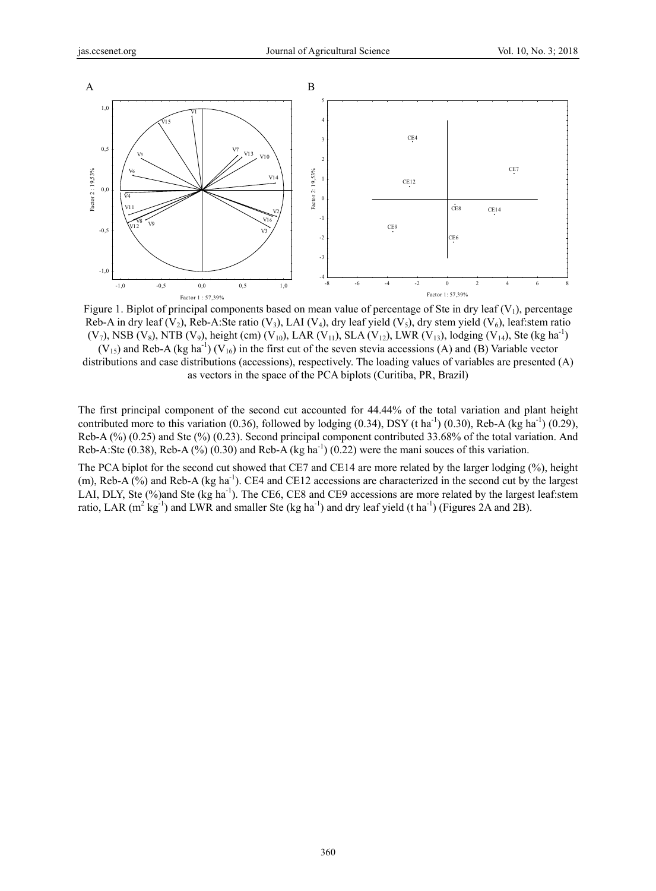

Figure 1. Biplot of principal components based on mean value of percentage of Ste in dry leaf  $(V_1)$ , percentage Reb-A in dry leaf (V<sub>2</sub>), Reb-A:Ste ratio (V<sub>3</sub>), LAI (V<sub>4</sub>), dry leaf yield (V<sub>5</sub>), dry stem yield (V<sub>6</sub>), leaf:stem ratio (V<sub>7</sub>), NSB (V<sub>8</sub>), NTB (V<sub>9</sub>), height (cm) (V<sub>10</sub>), LAR (V<sub>11</sub>), SLA (V<sub>12</sub>), LWR (V<sub>13</sub>), lodging (V<sub>14</sub>), Ste (kg ha<sup>-1</sup>)

 $(V_{15})$  and Reb-A (kg ha<sup>-1</sup>)  $(V_{16})$  in the first cut of the seven stevia accessions (A) and (B) Variable vector distributions and case distributions (accessions), respectively. The loading values of variables are presented (A) as vectors in the space of the PCA biplots (Curitiba, PR, Brazil)

The first principal component of the second cut accounted for 44.44% of the total variation and plant height contributed more to this variation (0.36), followed by lodging (0.34), DSY (t ha<sup>-1</sup>) (0.30), Reb-A (kg ha<sup>-1</sup>) (0.29), Reb-A (%) (0.25) and Ste (%) (0.23). Second principal component contributed 33.68% of the total variation. And Reb-A:Ste  $(0.38)$ , Reb-A $(\%)$   $(0.30)$  and Reb-A  $(kg ha^{-1})$   $(0.22)$  were the mani souces of this variation.

The PCA biplot for the second cut showed that CE7 and CE14 are more related by the larger lodging (%), height (m), Reb-A (%) and Reb-A (kg ha<sup>-1</sup>). CE4 and CE12 accessions are characterized in the second cut by the largest LAI, DLY, Ste (%)and Ste (kg ha<sup>-1</sup>). The CE6, CE8 and CE9 accessions are more related by the largest leaf:stem ratio, LAR  $(m^2 \text{ kg}^{-1})$  and LWR and smaller Ste (kg ha<sup>-1</sup>) and dry leaf yield (t ha<sup>-1</sup>) (Figures 2A and 2B).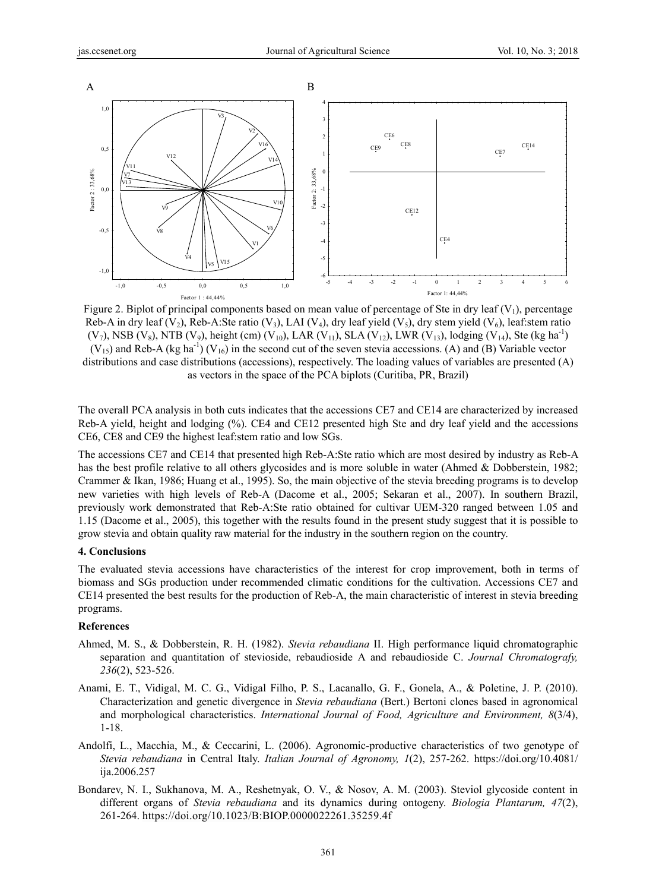

Figure 2. Biplot of principal components based on mean value of percentage of Ste in dry leaf  $(V_1)$ , percentage Reb-A in dry leaf (V<sub>2</sub>), Reb-A:Ste ratio (V<sub>3</sub>), LAI (V<sub>4</sub>), dry leaf yield (V<sub>5</sub>), dry stem yield (V<sub>6</sub>), leaf:stem ratio (V<sub>7</sub>), NSB (V<sub>8</sub>), NTB (V<sub>9</sub>), height (cm) (V<sub>10</sub>), LAR (V<sub>11</sub>), SLA (V<sub>12</sub>), LWR (V<sub>13</sub>), lodging (V<sub>14</sub>), Ste (kg ha<sup>-1</sup>)  $(V_{15})$  and Reb-A (kg ha<sup>-1</sup>)  $(V_{16})$  in the second cut of the seven stevia accessions. (A) and (B) Variable vector distributions and case distributions (accessions), respectively. The loading values of variables are presented (A) as vectors in the space of the PCA biplots (Curitiba, PR, Brazil)

The overall PCA analysis in both cuts indicates that the accessions CE7 and CE14 are characterized by increased Reb-A yield, height and lodging (%). CE4 and CE12 presented high Ste and dry leaf yield and the accessions CE6, CE8 and CE9 the highest leaf:stem ratio and low SGs.

The accessions CE7 and CE14 that presented high Reb-A:Ste ratio which are most desired by industry as Reb-A has the best profile relative to all others glycosides and is more soluble in water (Ahmed & Dobberstein, 1982; Crammer & Ikan, 1986; Huang et al., 1995). So, the main objective of the stevia breeding programs is to develop new varieties with high levels of Reb-A (Dacome et al., 2005; Sekaran et al., 2007). In southern Brazil, previously work demonstrated that Reb-A:Ste ratio obtained for cultivar UEM-320 ranged between 1.05 and 1.15 (Dacome et al., 2005), this together with the results found in the present study suggest that it is possible to grow stevia and obtain quality raw material for the industry in the southern region on the country.

## **4. Conclusions**

The evaluated stevia accessions have characteristics of the interest for crop improvement, both in terms of biomass and SGs production under recommended climatic conditions for the cultivation. Accessions CE7 and CE14 presented the best results for the production of Reb-A, the main characteristic of interest in stevia breeding programs.

## **References**

- Ahmed, M. S., & Dobberstein, R. H. (1982). *Stevia rebaudiana* II. High performance liquid chromatographic separation and quantitation of stevioside, rebaudioside A and rebaudioside C. *Journal Chromatografy, 236*(2), 523-526.
- Anami, E. T., Vidigal, M. C. G., Vidigal Filho, P. S., Lacanallo, G. F., Gonela, A., & Poletine, J. P. (2010). Characterization and genetic divergence in *Stevia rebaudiana* (Bert.) Bertoni clones based in agronomical and morphological characteristics. *International Journal of Food, Agriculture and Environment, 8*(3/4), 1-18.
- Andolfi, L., Macchia, M., & Ceccarini, L. (2006). Agronomic-productive characteristics of two genotype of *Stevia rebaudiana* in Central Italy. *Italian Journal of Agronomy, 1*(2), 257-262. https://doi.org/10.4081/ ija.2006.257
- Bondarev, N. I., Sukhanova, M. A., Reshetnyak, O. V., & Nosov, A. M. (2003). Steviol glycoside content in different organs of *Stevia rebaudiana* and its dynamics during ontogeny. *Biologia Plantarum, 47*(2), 261-264. https://doi.org/10.1023/B:BIOP.0000022261.35259.4f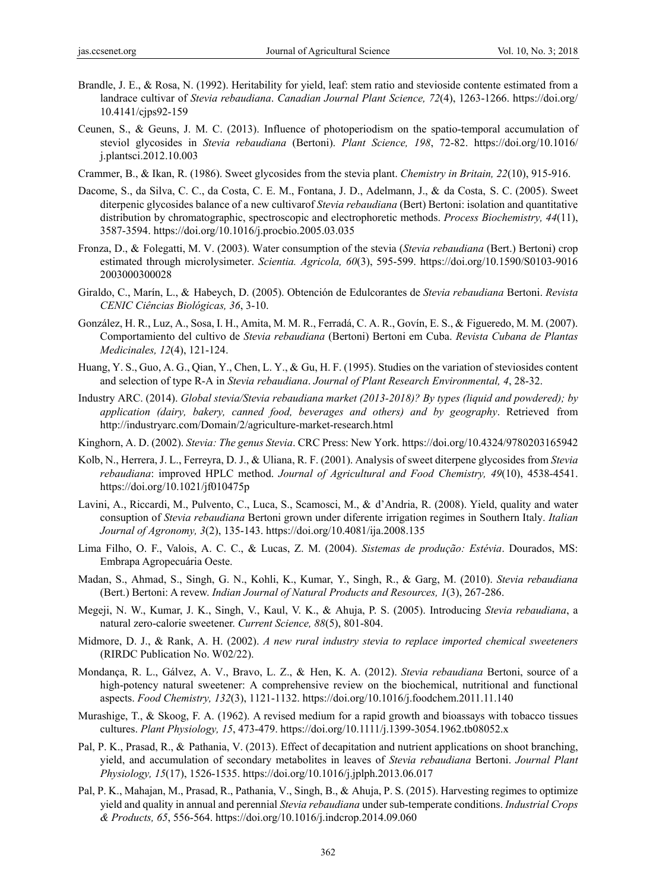- Brandle, J. E., & Rosa, N. (1992). Heritability for yield, leaf: stem ratio and stevioside contente estimated from a landrace cultivar of *Stevia rebaudiana*. *Canadian Journal Plant Science, 72*(4), 1263-1266. https://doi.org/ 10.4141/cjps92-159
- Ceunen, S., & Geuns, J. M. C. (2013). Influence of photoperiodism on the spatio-temporal accumulation of steviol glycosides in *Stevia rebaudiana* (Bertoni). *Plant Science, 198*, 72-82. https://doi.org/10.1016/ j.plantsci.2012.10.003
- Crammer, B., & Ikan, R. (1986). Sweet glycosides from the stevia plant. *Chemistry in Britain, 22*(10), 915-916.
- Dacome, S., da Silva, C. C., da Costa, C. E. M., Fontana, J. D., Adelmann, J., & da Costa, S. C. (2005). Sweet diterpenic glycosides balance of a new cultivarof *Stevia rebaudiana* (Bert) Bertoni: isolation and quantitative distribution by chromatographic, spectroscopic and electrophoretic methods. *Process Biochemistry, 44*(11), 3587-3594. https://doi.org/10.1016/j.procbio.2005.03.035
- Fronza, D., & Folegatti, M. V. (2003). Water consumption of the stevia (*Stevia rebaudiana* (Bert.) Bertoni) crop estimated through microlysimeter. *Scientia. Agricola, 60*(3), 595-599. https://doi.org/10.1590/S0103-9016 2003000300028
- Giraldo, C., Marín, L., & Habeych, D. (2005). Obtención de Edulcorantes de *Stevia rebaudiana* Bertoni. *Revista CENIC Ciências Biológicas, 36*, 3-10.
- González, H. R., Luz, A., Sosa, I. H., Amita, M. M. R., Ferradá, C. A. R., Govín, E. S., & Figueredo, M. M. (2007). Comportamiento del cultivo de *Stevia rebaudiana* (Bertoni) Bertoni em Cuba. *Revista Cubana de Plantas Medicinales, 12*(4), 121-124.
- Huang, Y. S., Guo, A. G., Qian, Y., Chen, L. Y., & Gu, H. F. (1995). Studies on the variation of steviosides content and selection of type R-A in *Stevia rebaudiana*. *Journal of Plant Research Environmental, 4*, 28-32.
- Industry ARC. (2014). *Global stevia/Stevia rebaudiana market (2013-2018)? By types (liquid and powdered); by application (dairy, bakery, canned food, beverages and others) and by geography*. Retrieved from http://industryarc.com/Domain/2/agriculture-market-research.html
- Kinghorn, A. D. (2002). *Stevia: The genus Stevia*. CRC Press: New York. https://doi.org/10.4324/9780203165942
- Kolb, N., Herrera, J. L., Ferreyra, D. J., & Uliana, R. F. (2001). Analysis of sweet diterpene glycosides from *Stevia rebaudiana*: improved HPLC method. *Journal of Agricultural and Food Chemistry, 49*(10), 4538-4541. https://doi.org/10.1021/jf010475p
- Lavini, A., Riccardi, M., Pulvento, C., Luca, S., Scamosci, M., & d'Andria, R. (2008). Yield, quality and water consuption of *Stevia rebaudiana* Bertoni grown under diferente irrigation regimes in Southern Italy. *Italian Journal of Agronomy, 3*(2), 135-143. https://doi.org/10.4081/ija.2008.135
- Lima Filho, O. F., Valois, A. C. C., & Lucas, Z. M. (2004). *Sistemas de produção: Estévia*. Dourados, MS: Embrapa Agropecuária Oeste.
- Madan, S., Ahmad, S., Singh, G. N., Kohli, K., Kumar, Y., Singh, R., & Garg, M. (2010). *Stevia rebaudiana* (Bert.) Bertoni: A revew. *Indian Journal of Natural Products and Resources, 1*(3), 267-286.
- Megeji, N. W., Kumar, J. K., Singh, V., Kaul, V. K., & Ahuja, P. S. (2005). Introducing *Stevia rebaudiana*, a natural zero-calorie sweetener. *Current Science, 88*(5), 801-804.
- Midmore, D. J., & Rank, A. H. (2002). *A new rural industry stevia to replace imported chemical sweeteners* (RIRDC Publication No. W02/22).
- Mondança, R. L., Gálvez, A. V., Bravo, L. Z., & Hen, K. A. (2012). *Stevia rebaudiana* Bertoni, source of a high-potency natural sweetener: A comprehensive review on the biochemical, nutritional and functional aspects. *Food Chemistry, 132*(3), 1121-1132. https://doi.org/10.1016/j.foodchem.2011.11.140
- Murashige, T., & Skoog, F. A. (1962). A revised medium for a rapid growth and bioassays with tobacco tissues cultures. *Plant Physiology, 15*, 473-479. https://doi.org/10.1111/j.1399-3054.1962.tb08052.x
- Pal, P. K., Prasad, R., & Pathania, V. (2013). Effect of decapitation and nutrient applications on shoot branching, yield, and accumulation of secondary metabolites in leaves of *Stevia rebaudiana* Bertoni. *Journal Plant Physiology, 15*(17), 1526-1535. https://doi.org/10.1016/j.jplph.2013.06.017
- Pal, P. K., Mahajan, M., Prasad, R., Pathania, V., Singh, B., & Ahuja, P. S. (2015). Harvesting regimes to optimize yield and quality in annual and perennial *Stevia rebaudiana* under sub-temperate conditions. *Industrial Crops & Products, 65*, 556-564. https://doi.org/10.1016/j.indcrop.2014.09.060